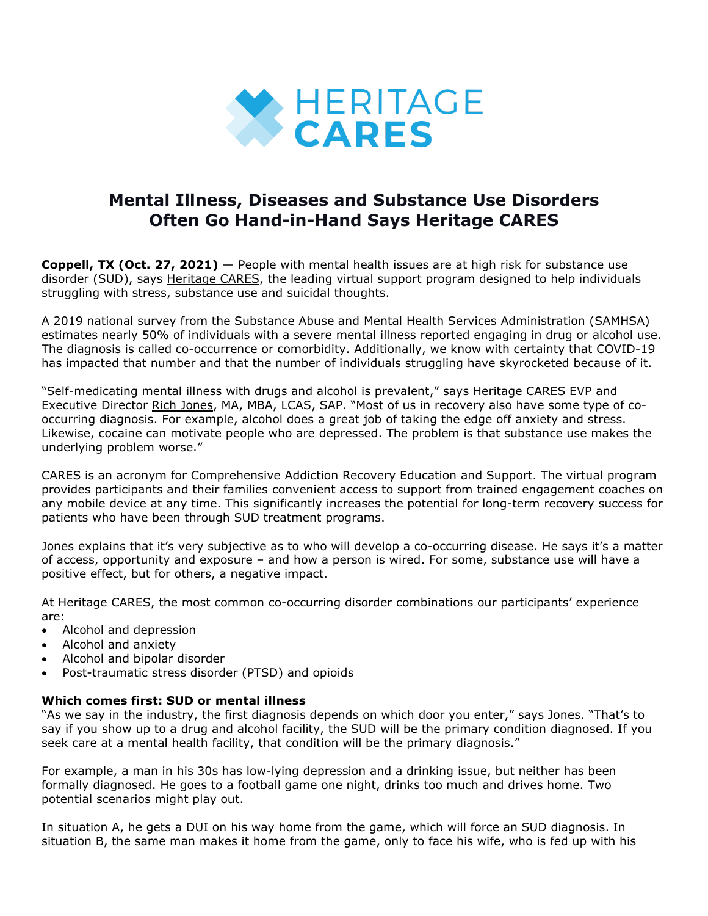

# **Mental Illness, Diseases and Substance Use Disorders Often Go Hand-in-Hand Says Heritage CARES**

**Coppell, TX (Oct. 27, 2021)** — People with mental health issues are at high risk for substance use disorder (SUD), says [Heritage](https://bit.ly/3mlXGUe) CARES, the leading virtual support program designed to help individuals struggling with stress, substance use and suicidal thoughts.

A 2019 national survey from the Substance Abuse and Mental Health Services Administration (SAMHSA) estimates nearly 50% of individuals with a severe mental illness reported engaging in drug or alcohol use. The diagnosis is called co-occurrence or comorbidity. Additionally, we know with certainty that COVID-19 has impacted that number and that the number of individuals struggling have skyrocketed because of it.

"Self-medicating mental illness with drugs and alcohol is prevalent," says Heritage CARES EVP and Executive Director Rich [Jones,](https://bit.ly/3iypXps) MA, MBA, LCAS, SAP. "Most of us in recovery also have some type of cooccurring diagnosis. For example, alcohol does a great job of taking the edge off anxiety and stress. Likewise, cocaine can motivate people who are depressed. The problem is that substance use makes the underlying problem worse."

CARES is an acronym for Comprehensive Addiction Recovery Education and Support. The virtual program provides participants and their families convenient access to support from trained engagement coaches on any mobile device at any time. This significantly increases the potential for long-term recovery success for patients who have been through SUD treatment programs.

Jones explains that it's very subjective as to who will develop a co-occurring disease. He says it's a matter of access, opportunity and exposure – and how a person is wired. For some, substance use will have a positive effect, but for others, a negative impact.

At Heritage CARES, the most common co-occurring disorder combinations our participants' experience are:

- Alcohol and depression
- Alcohol and anxiety
- Alcohol and bipolar disorder
- Post-traumatic stress disorder (PTSD) and opioids

# **Which comes first: SUD or mental illness**

"As we say in the industry, the first diagnosis depends on which door you enter," says Jones. "That's to say if you show up to a drug and alcohol facility, the SUD will be the primary condition diagnosed. If you seek care at a mental health facility, that condition will be the primary diagnosis."

For example, a man in his 30s has low-lying depression and a drinking issue, but neither has been formally diagnosed. He goes to a football game one night, drinks too much and drives home. Two potential scenarios might play out.

In situation A, he gets a DUI on his way home from the game, which will force an SUD diagnosis. In situation B, the same man makes it home from the game, only to face his wife, who is fed up with his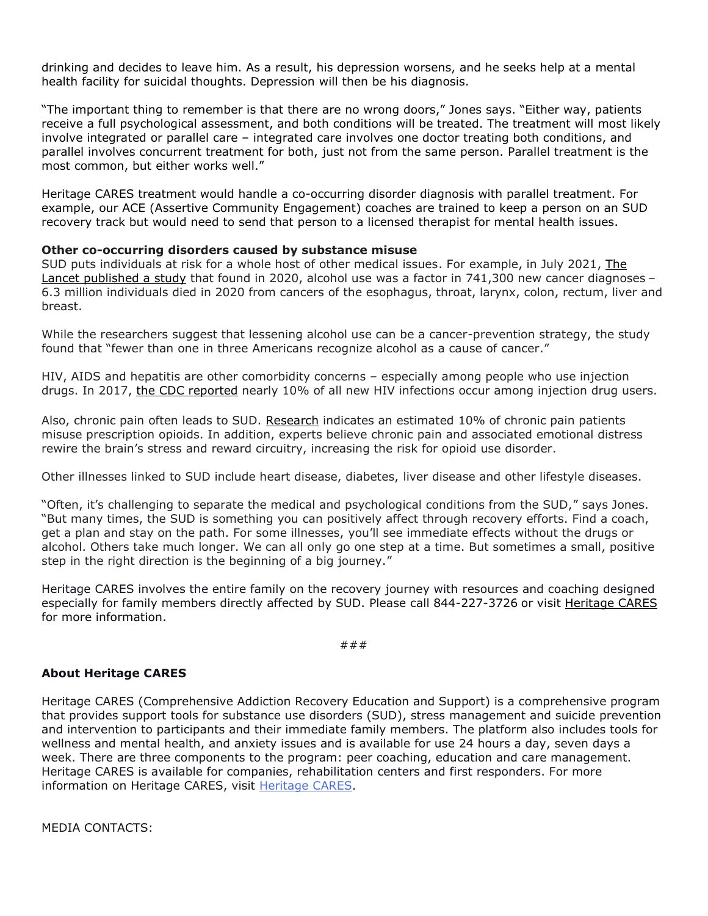drinking and decides to leave him. As a result, his depression worsens, and he seeks help at a mental health facility for suicidal thoughts. Depression will then be his diagnosis.

"The important thing to remember is that there are no wrong doors," Jones says. "Either way, patients receive a full psychological assessment, and both conditions will be treated. The treatment will most likely involve integrated or parallel care – integrated care involves one doctor treating both conditions, and parallel involves concurrent treatment for both, just not from the same person. Parallel treatment is the most common, but either works well."

Heritage CARES treatment would handle a co-occurring disorder diagnosis with parallel treatment. For example, our ACE (Assertive Community Engagement) coaches are trained to keep a person on an SUD recovery track but would need to send that person to a licensed therapist for mental health issues.

### **Other co-occurring disorders caused by substance misuse**

SUD puts individuals at risk for a whole host of other medical issues. For example, in July 2021, [The](https://www.thelancet.com/journals/lanonc/article/PIIS1470-2045(21)00279-5/fulltext)  [Lancet published a study](https://www.thelancet.com/journals/lanonc/article/PIIS1470-2045(21)00279-5/fulltext) that found in 2020, alcohol use was a factor in 741,300 new cancer diagnoses – 6.3 million individuals died in 2020 from cancers of the esophagus, throat, larynx, colon, rectum, liver and breast.

While the researchers suggest that lessening alcohol use can be a cancer-prevention strategy, the study found that "fewer than one in three Americans recognize alcohol as a cause of cancer."

HIV, AIDS and hepatitis are other comorbidity concerns – especially among people who use injection drugs. In 2017, [the CDC reported](https://www.cdc.gov/hiv/group/hiv-idu.html) nearly 10% of all new HIV infections occur among injection drug users.

Also, chronic pain often leads to SUD. [Research](https://www.drugabuse.gov/publications/research-reports/common-comorbidities-substance-use-disorders/part-1-connection-between-substance-use-disorders-mental-illness) indicates an estimated 10% of chronic pain patients misuse prescription opioids. In addition, experts believe chronic pain and associated emotional distress rewire the brain's stress and reward circuitry, increasing the risk for opioid use disorder.

Other illnesses linked to SUD include heart disease, diabetes, liver disease and other lifestyle diseases.

"Often, it's challenging to separate the medical and psychological conditions from the SUD," says Jones. "But many times, the SUD is something you can positively affect through recovery efforts. Find a coach, get a plan and stay on the path. For some illnesses, you'll see immediate effects without the drugs or alcohol. Others take much longer. We can all only go one step at a time. But sometimes a small, positive step in the right direction is the beginning of a big journey."

Heritage CARES involves the entire family on the recovery journey with resources and coaching designed especially for family members directly affected by SUD. Please call 844-227-3726 or visit [Heritage](https://bit.ly/3mlXGUe) CARES for more information.

#### ###

# **About Heritage CARES**

Heritage CARES (Comprehensive Addiction Recovery Education and Support) is a comprehensive program that provides support tools for substance use disorders (SUD), stress management and suicide prevention and intervention to participants and their immediate family members. The platform also includes tools for wellness and mental health, and anxiety issues and is available for use 24 hours a day, seven days a week. There are three components to the program: peer coaching, education and care management. Heritage CARES is available for companies, rehabilitation centers and first responders. For more information on Heritage CARES, visit [Heritage](https://bit.ly/3mspqZ8) CARES.

MEDIA CONTACTS: